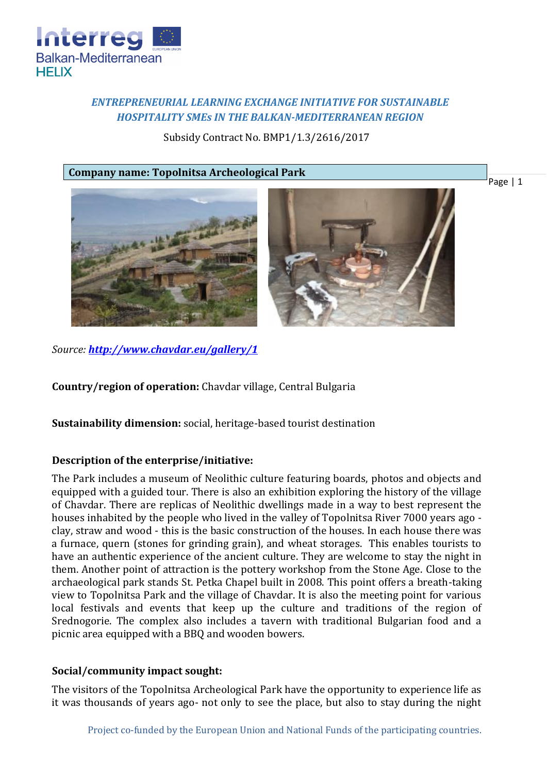

# *ENTREPRENEURIAL LEARNING EXCHANGE INITIATIVE FOR SUSTAINABLE HOSPITALITY SMEs IN THE BALKAN-MEDITERRANEAN REGION*

Subsidy Contract No. BMP1/1.3/2616/2017

#### **Company name: Topolnitsa Archeological Park**

Page | 1





*Source: <http://www.chavdar.eu/gallery/1>*

**Country/region of operation:** Chavdar village, Central Bulgaria

**Sustainability dimension:** social, heritage-based tourist destination

# **Description of the enterprise/initiative:**

The Park includes a museum of Neolithic culture featuring boards, photos and objects and equipped with a guided tour. There is also an exhibition exploring the history of the village of Chavdar. There are replicas of Neolithic dwellings made in a way to best represent the houses inhabited by the people who lived in the valley of Topolnitsa River 7000 years ago clay, straw and wood - this is the basic construction of the houses. In each house there was a furnace, quern (stones for grinding grain), and wheat storages. This enables tourists to have an authentic experience of the ancient culture. They are welcome to stay the night in them. Another point of attraction is the pottery workshop from the Stone Age. Close to the archaeological park stands St. Petka Chapel built in 2008. This point offers a breath-taking view to Topolnitsa Park and the village of Chavdar. It is also the meeting point for various local festivals and events that keep up the culture and traditions of the region of Srednogorie. The complex also includes a tavern with traditional Bulgarian food and a picnic area equipped with a BBQ and wooden bowers.

# **Social/community impact sought:**

The visitors of the Topolnitsa Archeological Park have the opportunity to experience life as it was thousands of years ago- not only to see the place, but also to stay during the night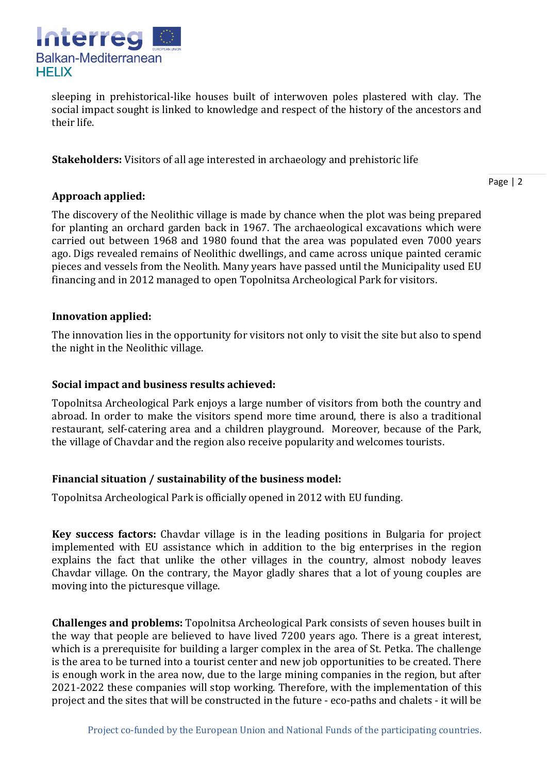

sleeping in prehistorical-like houses built of interwoven poles plastered with clay. The social impact sought is linked to knowledge and respect of the history of the ancestors and their life.

**Stakeholders:** Visitors of all age interested in archaeology and prehistoric life

Page | 2

# **Approach applied:**

The discovery of the Neolithic village is made by chance when the plot was being prepared for planting an orchard garden back in 1967. The archaeological excavations which were carried out between 1968 and 1980 found that the area was populated even 7000 years ago. Digs revealed remains of Neolithic dwellings, and came across unique painted ceramic pieces and vessels from the Neolith. Many years have passed until the Municipality used EU financing and in 2012 managed to open Topolnitsa Archeological Park for visitors.

#### **Innovation applied:**

The innovation lies in the opportunity for visitors not only to visit the site but also to spend the night in the Neolithic village.

#### **Social impact and business results achieved:**

Topolnitsa Archeological Park enjoys a large number of visitors from both the country and abroad. In order to make the visitors spend more time around, there is also a traditional restaurant, self-catering area and a children playground. Moreover, because of the Park, the village of Chavdar and the region also receive popularity and welcomes tourists.

# **Financial situation / sustainability of the business model:**

Topolnitsa Archeological Park is officially opened in 2012 with EU funding.

**Key success factors:** Chavdar village is in the leading positions in Bulgaria for project implemented with EU assistance which in addition to the big enterprises in the region explains the fact that unlike the other villages in the country, almost nobody leaves Chavdar village. On the contrary, the Mayor gladly shares that a lot of young couples are moving into the picturesque village.

**Challenges and problems:** Topolnitsa Archeological Park consists of seven houses built in the way that people are believed to have lived 7200 years ago. There is a great interest, which is a prerequisite for building a larger complex in the area of St. Petka. The challenge is the area to be turned into a tourist center and new job opportunities to be created. There is enough work in the area now, due to the large mining companies in the region, but after 2021-2022 these companies will stop working. Therefore, with the implementation of this project and the sites that will be constructed in the future - eco-paths and chalets - it will be